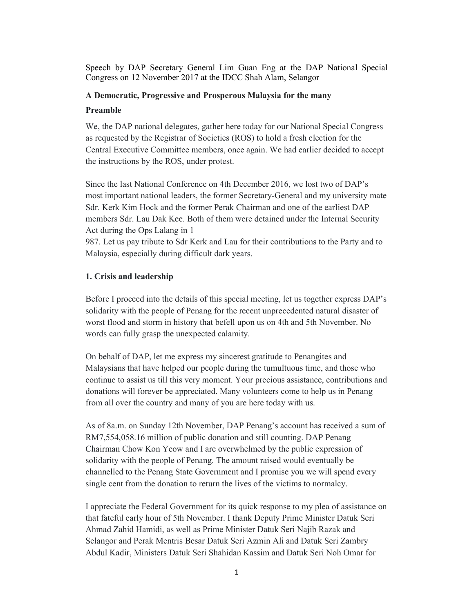Speech by DAP Secretary General Lim Guan Eng at the DAP National Special Congress on 12 November 2017 at the IDCC Shah Alam, Selangor

### A Democratic, Progressive and Prosperous Malaysia for the many

### Preamble

We, the DAP national delegates, gather here today for our National Special Congress as requested by the Registrar of Societies (ROS) to hold a fresh election for the Central Executive Committee members, once again. We had earlier decided to accept the instructions by the ROS, under protest.

Since the last National Conference on 4th December 2016, we lost two of DAP's most important national leaders, the former Secretary-General and my university mate Sdr. Kerk Kim Hock and the former Perak Chairman and one of the earliest DAP members Sdr. Lau Dak Kee. Both of them were detained under the Internal Security Act during the Ops Lalang in 1

987. Let us pay tribute to Sdr Kerk and Lau for their contributions to the Party and to Malaysia, especially during difficult dark years.

## 1. Crisis and leadership

Before I proceed into the details of this special meeting, let us together express DAP's solidarity with the people of Penang for the recent unprecedented natural disaster of worst flood and storm in history that befell upon us on 4th and 5th November. No words can fully grasp the unexpected calamity.

On behalf of DAP, let me express my sincerest gratitude to Penangites and Malaysians that have helped our people during the tumultuous time, and those who continue to assist us till this very moment. Your precious assistance, contributions and donations will forever be appreciated. Many volunteers come to help us in Penang from all over the country and many of you are here today with us.

As of 8a.m. on Sunday 12th November, DAP Penang's account has received a sum of RM7,554,058.16 million of public donation and still counting. DAP Penang Chairman Chow Kon Yeow and I are overwhelmed by the public expression of solidarity with the people of Penang. The amount raised would eventually be channelled to the Penang State Government and I promise you we will spend every single cent from the donation to return the lives of the victims to normalcy.

I appreciate the Federal Government for its quick response to my plea of assistance on that fateful early hour of 5th November. I thank Deputy Prime Minister Datuk Seri Ahmad Zahid Hamidi, as well as Prime Minister Datuk Seri Najib Razak and Selangor and Perak Mentris Besar Datuk Seri Azmin Ali and Datuk Seri Zambry Abdul Kadir, Ministers Datuk Seri Shahidan Kassim and Datuk Seri Noh Omar for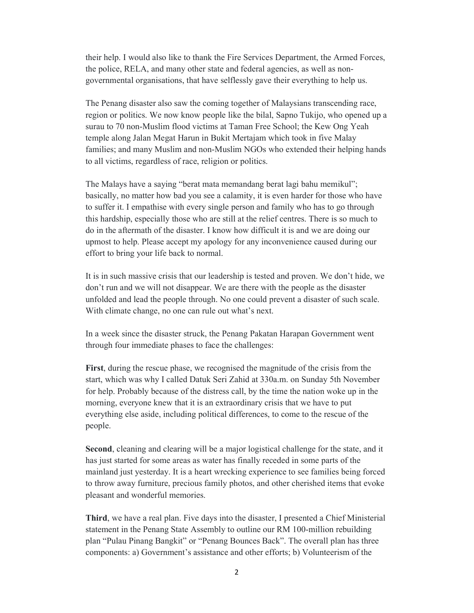their help. I would also like to thank the Fire Services Department, the Armed Forces, the police, RELA, and many other state and federal agencies, as well as nongovernmental organisations, that have selflessly gave their everything to help us.

The Penang disaster also saw the coming together of Malaysians transcending race, region or politics. We now know people like the bilal, Sapno Tukijo, who opened up a surau to 70 non-Muslim flood victims at Taman Free School; the Kew Ong Yeah temple along Jalan Megat Harun in Bukit Mertajam which took in five Malay families; and many Muslim and non-Muslim NGOs who extended their helping hands to all victims, regardless of race, religion or politics.

The Malays have a saying "berat mata memandang berat lagi bahu memikul"; basically, no matter how bad you see a calamity, it is even harder for those who have to suffer it. I empathise with every single person and family who has to go through this hardship, especially those who are still at the relief centres. There is so much to do in the aftermath of the disaster. I know how difficult it is and we are doing our upmost to help. Please accept my apology for any inconvenience caused during our effort to bring your life back to normal.

It is in such massive crisis that our leadership is tested and proven. We don't hide, we don't run and we will not disappear. We are there with the people as the disaster unfolded and lead the people through. No one could prevent a disaster of such scale. With climate change, no one can rule out what's next.

In a week since the disaster struck, the Penang Pakatan Harapan Government went through four immediate phases to face the challenges:

First, during the rescue phase, we recognised the magnitude of the crisis from the start, which was why I called Datuk Seri Zahid at 330a.m. on Sunday 5th November for help. Probably because of the distress call, by the time the nation woke up in the morning, everyone knew that it is an extraordinary crisis that we have to put everything else aside, including political differences, to come to the rescue of the people.

Second, cleaning and clearing will be a major logistical challenge for the state, and it has just started for some areas as water has finally receded in some parts of the mainland just yesterday. It is a heart wrecking experience to see families being forced to throw away furniture, precious family photos, and other cherished items that evoke pleasant and wonderful memories.

Third, we have a real plan. Five days into the disaster, I presented a Chief Ministerial statement in the Penang State Assembly to outline our RM 100-million rebuilding plan "Pulau Pinang Bangkit" or "Penang Bounces Back". The overall plan has three components: a) Government's assistance and other efforts; b) Volunteerism of the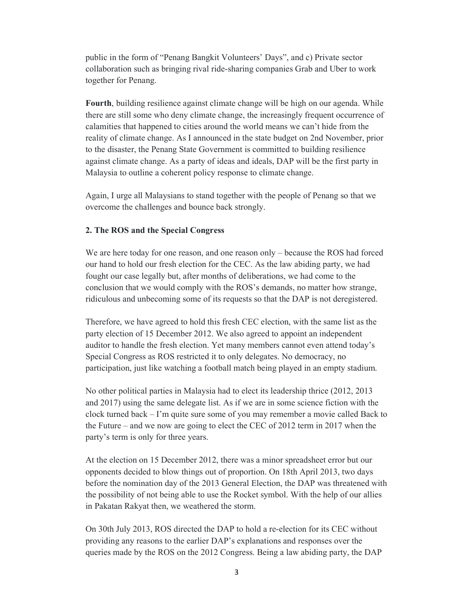public in the form of "Penang Bangkit Volunteers' Days", and c) Private sector collaboration such as bringing rival ride-sharing companies Grab and Uber to work together for Penang.

Fourth, building resilience against climate change will be high on our agenda. While there are still some who deny climate change, the increasingly frequent occurrence of calamities that happened to cities around the world means we can't hide from the reality of climate change. As I announced in the state budget on 2nd November, prior to the disaster, the Penang State Government is committed to building resilience against climate change. As a party of ideas and ideals, DAP will be the first party in Malaysia to outline a coherent policy response to climate change.

Again, I urge all Malaysians to stand together with the people of Penang so that we overcome the challenges and bounce back strongly.

# 2. The ROS and the Special Congress

We are here today for one reason, and one reason only – because the ROS had forced our hand to hold our fresh election for the CEC. As the law abiding party, we had fought our case legally but, after months of deliberations, we had come to the conclusion that we would comply with the ROS's demands, no matter how strange, ridiculous and unbecoming some of its requests so that the DAP is not deregistered.

Therefore, we have agreed to hold this fresh CEC election, with the same list as the party election of 15 December 2012. We also agreed to appoint an independent auditor to handle the fresh election. Yet many members cannot even attend today's Special Congress as ROS restricted it to only delegates. No democracy, no participation, just like watching a football match being played in an empty stadium.

No other political parties in Malaysia had to elect its leadership thrice (2012, 2013 and 2017) using the same delegate list. As if we are in some science fiction with the clock turned back – I'm quite sure some of you may remember a movie called Back to the Future – and we now are going to elect the CEC of 2012 term in 2017 when the party's term is only for three years.

At the election on 15 December 2012, there was a minor spreadsheet error but our opponents decided to blow things out of proportion. On 18th April 2013, two days before the nomination day of the 2013 General Election, the DAP was threatened with the possibility of not being able to use the Rocket symbol. With the help of our allies in Pakatan Rakyat then, we weathered the storm.

On 30th July 2013, ROS directed the DAP to hold a re-election for its CEC without providing any reasons to the earlier DAP's explanations and responses over the queries made by the ROS on the 2012 Congress. Being a law abiding party, the DAP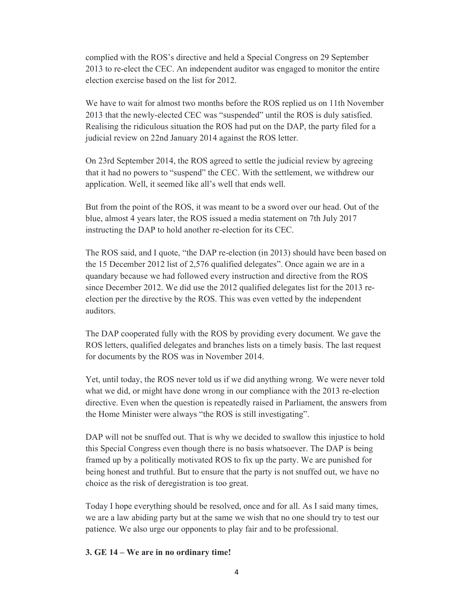complied with the ROS's directive and held a Special Congress on 29 September 2013 to re-elect the CEC. An independent auditor was engaged to monitor the entire election exercise based on the list for 2012.

We have to wait for almost two months before the ROS replied us on 11th November 2013 that the newly-elected CEC was "suspended" until the ROS is duly satisfied. Realising the ridiculous situation the ROS had put on the DAP, the party filed for a judicial review on 22nd January 2014 against the ROS letter.

On 23rd September 2014, the ROS agreed to settle the judicial review by agreeing that it had no powers to "suspend" the CEC. With the settlement, we withdrew our application. Well, it seemed like all's well that ends well.

But from the point of the ROS, it was meant to be a sword over our head. Out of the blue, almost 4 years later, the ROS issued a media statement on 7th July 2017 instructing the DAP to hold another re-election for its CEC.

The ROS said, and I quote, "the DAP re-election (in 2013) should have been based on the 15 December 2012 list of 2,576 qualified delegates". Once again we are in a quandary because we had followed every instruction and directive from the ROS since December 2012. We did use the 2012 qualified delegates list for the 2013 reelection per the directive by the ROS. This was even vetted by the independent auditors.

The DAP cooperated fully with the ROS by providing every document. We gave the ROS letters, qualified delegates and branches lists on a timely basis. The last request for documents by the ROS was in November 2014.

Yet, until today, the ROS never told us if we did anything wrong. We were never told what we did, or might have done wrong in our compliance with the 2013 re-election directive. Even when the question is repeatedly raised in Parliament, the answers from the Home Minister were always "the ROS is still investigating".

DAP will not be snuffed out. That is why we decided to swallow this injustice to hold this Special Congress even though there is no basis whatsoever. The DAP is being framed up by a politically motivated ROS to fix up the party. We are punished for being honest and truthful. But to ensure that the party is not snuffed out, we have no choice as the risk of deregistration is too great.

Today I hope everything should be resolved, once and for all. As I said many times, we are a law abiding party but at the same we wish that no one should try to test our patience. We also urge our opponents to play fair and to be professional.

#### 3. GE 14 – We are in no ordinary time!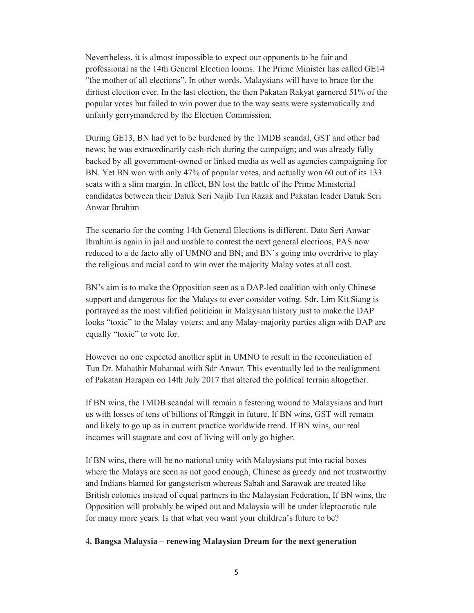Nevertheless, it is almost impossible to expect our opponents to be fair and professional as the 14th General Election looms. The Prime Minister has called GE14 "the mother of all elections". In other words, Malaysians will have to brace for the dirtiest election ever. In the last election, the then Pakatan Rakyat garnered 51% of the popular votes but failed to win power due to the way seats were systematically and unfairly gerrymandered by the Election Commission.

During GE13, BN had yet to be burdened by the 1MDB scandal, GST and other bad news; he was extraordinarily cash-rich during the campaign; and was already fully backed by all government-owned or linked media as well as agencies campaigning for BN. Yet BN won with only 47% of popular votes, and actually won 60 out of its 133 seats with a slim margin. In effect, BN lost the battle of the Prime Ministerial candidates between their Datuk Seri Najib Tun Razak and Pakatan leader Datuk Seri Anwar Ibrahim

The scenario for the coming 14th General Elections is different. Dato Seri Anwar Ibrahim is again in jail and unable to contest the next general elections, PAS now reduced to a de facto ally of UMNO and BN; and BN's going into overdrive to play the religious and racial card to win over the majority Malay votes at all cost.

BN's aim is to make the Opposition seen as a DAP-led coalition with only Chinese support and dangerous for the Malays to ever consider voting. Sdr. Lim Kit Siang is portrayed as the most vilified politician in Malaysian history just to make the DAP looks "toxic" to the Malay voters; and any Malay-majority parties align with DAP are equally "toxic" to vote for.

However no one expected another split in UMNO to result in the reconciliation of Tun Dr. Mahathir Mohamad with Sdr Anwar. This eventually led to the realignment of Pakatan Harapan on 14th July 2017 that altered the political terrain altogether.

If BN wins, the 1MDB scandal will remain a festering wound to Malaysians and hurt us with losses of tens of billions of Ringgit in future. If BN wins, GST will remain and likely to go up as in current practice worldwide trend. If BN wins, our real incomes will stagnate and cost of living will only go higher.

If BN wins, there will be no national unity with Malaysians put into racial boxes where the Malays are seen as not good enough, Chinese as greedy and not trustworthy and Indians blamed for gangsterism whereas Sabah and Sarawak are treated like British colonies instead of equal partners in the Malaysian Federation, If BN wins, the Opposition will probably be wiped out and Malaysia will be under kleptocratic rule for many more years. Is that what you want your children's future to be?

#### 4. Bangsa Malaysia – renewing Malaysian Dream for the next generation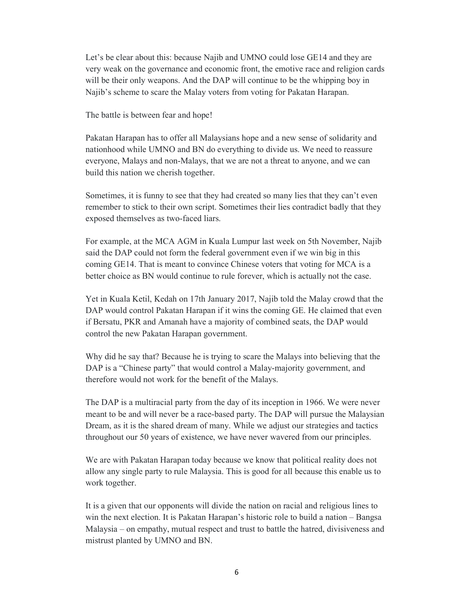Let's be clear about this: because Najib and UMNO could lose GE14 and they are very weak on the governance and economic front, the emotive race and religion cards will be their only weapons. And the DAP will continue to be the whipping boy in Najib's scheme to scare the Malay voters from voting for Pakatan Harapan.

The battle is between fear and hope!

Pakatan Harapan has to offer all Malaysians hope and a new sense of solidarity and nationhood while UMNO and BN do everything to divide us. We need to reassure everyone, Malays and non-Malays, that we are not a threat to anyone, and we can build this nation we cherish together.

Sometimes, it is funny to see that they had created so many lies that they can't even remember to stick to their own script. Sometimes their lies contradict badly that they exposed themselves as two-faced liars.

For example, at the MCA AGM in Kuala Lumpur last week on 5th November, Najib said the DAP could not form the federal government even if we win big in this coming GE14. That is meant to convince Chinese voters that voting for MCA is a better choice as BN would continue to rule forever, which is actually not the case.

Yet in Kuala Ketil, Kedah on 17th January 2017, Najib told the Malay crowd that the DAP would control Pakatan Harapan if it wins the coming GE. He claimed that even if Bersatu, PKR and Amanah have a majority of combined seats, the DAP would control the new Pakatan Harapan government.

Why did he say that? Because he is trying to scare the Malays into believing that the DAP is a "Chinese party" that would control a Malay-majority government, and therefore would not work for the benefit of the Malays.

The DAP is a multiracial party from the day of its inception in 1966. We were never meant to be and will never be a race-based party. The DAP will pursue the Malaysian Dream, as it is the shared dream of many. While we adjust our strategies and tactics throughout our 50 years of existence, we have never wavered from our principles.

We are with Pakatan Harapan today because we know that political reality does not allow any single party to rule Malaysia. This is good for all because this enable us to work together.

It is a given that our opponents will divide the nation on racial and religious lines to win the next election. It is Pakatan Harapan's historic role to build a nation – Bangsa Malaysia – on empathy, mutual respect and trust to battle the hatred, divisiveness and mistrust planted by UMNO and BN.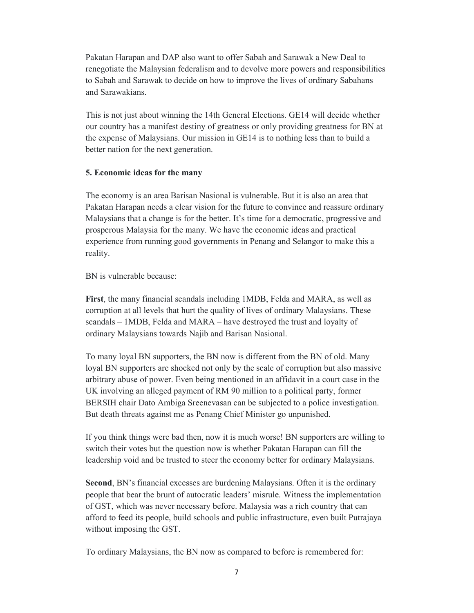Pakatan Harapan and DAP also want to offer Sabah and Sarawak a New Deal to renegotiate the Malaysian federalism and to devolve more powers and responsibilities to Sabah and Sarawak to decide on how to improve the lives of ordinary Sabahans and Sarawakians.

This is not just about winning the 14th General Elections. GE14 will decide whether our country has a manifest destiny of greatness or only providing greatness for BN at the expense of Malaysians. Our mission in GE14 is to nothing less than to build a better nation for the next generation.

#### 5. Economic ideas for the many

The economy is an area Barisan Nasional is vulnerable. But it is also an area that Pakatan Harapan needs a clear vision for the future to convince and reassure ordinary Malaysians that a change is for the better. It's time for a democratic, progressive and prosperous Malaysia for the many. We have the economic ideas and practical experience from running good governments in Penang and Selangor to make this a reality.

BN is vulnerable because:

First, the many financial scandals including 1MDB, Felda and MARA, as well as corruption at all levels that hurt the quality of lives of ordinary Malaysians. These scandals – 1MDB, Felda and MARA – have destroyed the trust and loyalty of ordinary Malaysians towards Najib and Barisan Nasional.

To many loyal BN supporters, the BN now is different from the BN of old. Many loyal BN supporters are shocked not only by the scale of corruption but also massive arbitrary abuse of power. Even being mentioned in an affidavit in a court case in the UK involving an alleged payment of RM 90 million to a political party, former BERSIH chair Dato Ambiga Sreenevasan can be subjected to a police investigation. But death threats against me as Penang Chief Minister go unpunished.

If you think things were bad then, now it is much worse! BN supporters are willing to switch their votes but the question now is whether Pakatan Harapan can fill the leadership void and be trusted to steer the economy better for ordinary Malaysians.

Second, BN's financial excesses are burdening Malaysians. Often it is the ordinary people that bear the brunt of autocratic leaders' misrule. Witness the implementation of GST, which was never necessary before. Malaysia was a rich country that can afford to feed its people, build schools and public infrastructure, even built Putrajaya without imposing the GST.

To ordinary Malaysians, the BN now as compared to before is remembered for: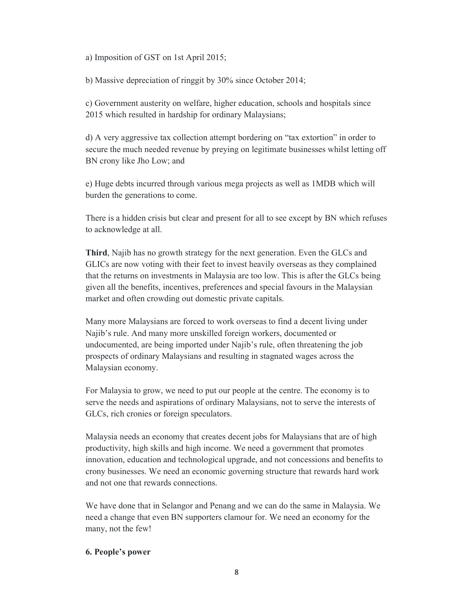a) Imposition of GST on 1st April 2015;

b) Massive depreciation of ringgit by 30% since October 2014;

c) Government austerity on welfare, higher education, schools and hospitals since 2015 which resulted in hardship for ordinary Malaysians;

d) A very aggressive tax collection attempt bordering on "tax extortion" in order to secure the much needed revenue by preying on legitimate businesses whilst letting off BN crony like Jho Low; and

e) Huge debts incurred through various mega projects as well as 1MDB which will burden the generations to come.

There is a hidden crisis but clear and present for all to see except by BN which refuses to acknowledge at all.

Third, Najib has no growth strategy for the next generation. Even the GLCs and GLICs are now voting with their feet to invest heavily overseas as they complained that the returns on investments in Malaysia are too low. This is after the GLCs being given all the benefits, incentives, preferences and special favours in the Malaysian market and often crowding out domestic private capitals.

Many more Malaysians are forced to work overseas to find a decent living under Najib's rule. And many more unskilled foreign workers, documented or undocumented, are being imported under Najib's rule, often threatening the job prospects of ordinary Malaysians and resulting in stagnated wages across the Malaysian economy.

For Malaysia to grow, we need to put our people at the centre. The economy is to serve the needs and aspirations of ordinary Malaysians, not to serve the interests of GLCs, rich cronies or foreign speculators.

Malaysia needs an economy that creates decent jobs for Malaysians that are of high productivity, high skills and high income. We need a government that promotes innovation, education and technological upgrade, and not concessions and benefits to crony businesses. We need an economic governing structure that rewards hard work and not one that rewards connections.

We have done that in Selangor and Penang and we can do the same in Malaysia. We need a change that even BN supporters clamour for. We need an economy for the many, not the few!

# 6. People's power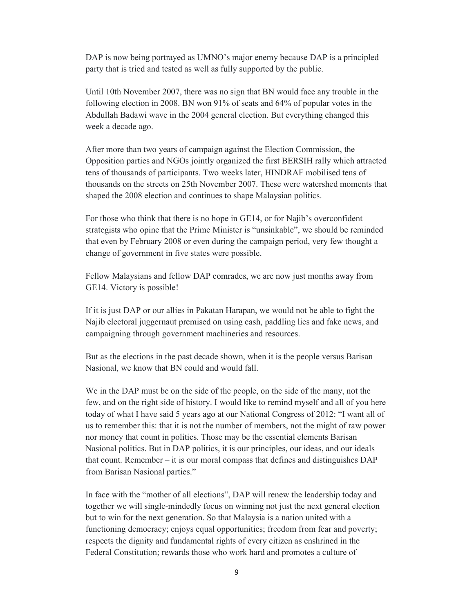DAP is now being portrayed as UMNO's major enemy because DAP is a principled party that is tried and tested as well as fully supported by the public.

Until 10th November 2007, there was no sign that BN would face any trouble in the following election in 2008. BN won 91% of seats and 64% of popular votes in the Abdullah Badawi wave in the 2004 general election. But everything changed this week a decade ago.

After more than two years of campaign against the Election Commission, the Opposition parties and NGOs jointly organized the first BERSIH rally which attracted tens of thousands of participants. Two weeks later, HINDRAF mobilised tens of thousands on the streets on 25th November 2007. These were watershed moments that shaped the 2008 election and continues to shape Malaysian politics.

For those who think that there is no hope in GE14, or for Najib's overconfident strategists who opine that the Prime Minister is "unsinkable", we should be reminded that even by February 2008 or even during the campaign period, very few thought a change of government in five states were possible.

Fellow Malaysians and fellow DAP comrades, we are now just months away from GE14. Victory is possible!

If it is just DAP or our allies in Pakatan Harapan, we would not be able to fight the Najib electoral juggernaut premised on using cash, paddling lies and fake news, and campaigning through government machineries and resources.

But as the elections in the past decade shown, when it is the people versus Barisan Nasional, we know that BN could and would fall.

We in the DAP must be on the side of the people, on the side of the many, not the few, and on the right side of history. I would like to remind myself and all of you here today of what I have said 5 years ago at our National Congress of 2012: "I want all of us to remember this: that it is not the number of members, not the might of raw power nor money that count in politics. Those may be the essential elements Barisan Nasional politics. But in DAP politics, it is our principles, our ideas, and our ideals that count. Remember – it is our moral compass that defines and distinguishes  $DAP$ from Barisan Nasional parties."

In face with the "mother of all elections", DAP will renew the leadership today and together we will single-mindedly focus on winning not just the next general election but to win for the next generation. So that Malaysia is a nation united with a functioning democracy; enjoys equal opportunities; freedom from fear and poverty; respects the dignity and fundamental rights of every citizen as enshrined in the Federal Constitution; rewards those who work hard and promotes a culture of